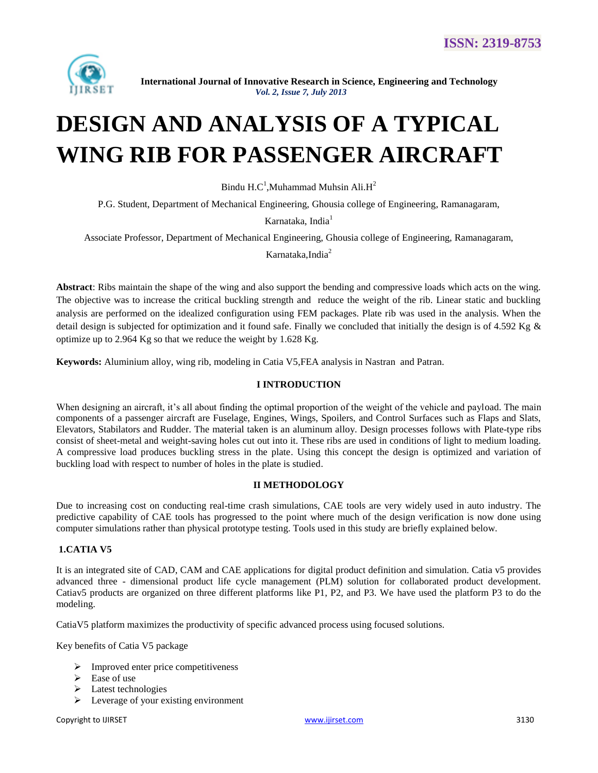

# **DESIGN AND ANALYSIS OF A TYPICAL WING RIB FOR PASSENGER AIRCRAFT**

Bindu H.C<sup>1</sup>,Muhammad Muhsin Ali.H<sup>2</sup>

P.G. Student, Department of Mechanical Engineering, Ghousia college of Engineering, Ramanagaram,

Karnataka, India<sup>1</sup>

Associate Professor, Department of Mechanical Engineering, Ghousia college of Engineering, Ramanagaram,

Karnataka,India<sup>2</sup>

**Abstract**: Ribs maintain the shape of the wing and also support the bending and compressive loads which acts on the wing. The objective was to increase the critical buckling strength and reduce the weight of the rib. Linear static and buckling analysis are performed on the idealized configuration using FEM packages. Plate rib was used in the analysis. When the detail design is subjected for optimization and it found safe. Finally we concluded that initially the design is of 4.592 Kg & optimize up to 2.964 Kg so that we reduce the weight by 1.628 Kg.

**Keywords:** Aluminium alloy, wing rib, modeling in Catia V5,FEA analysis in Nastran and Patran.

#### **I INTRODUCTION**

When designing an aircraft, it's all about finding the optimal proportion of the weight of the vehicle and payload. The main components of a passenger aircraft are Fuselage, Engines, Wings, Spoilers, and Control Surfaces such as Flaps and Slats, Elevators, Stabilators and Rudder. The material taken is an aluminum alloy. Design processes follows with Plate-type ribs consist of sheet-metal and weight-saving holes cut out into it. These ribs are used in conditions of light to medium loading. A compressive load produces buckling stress in the plate. Using this concept the design is optimized and variation of buckling load with respect to number of holes in the plate is studied.

#### **II METHODOLOGY**

Due to increasing cost on conducting real-time crash simulations, CAE tools are very widely used in auto industry. The predictive capability of CAE tools has progressed to the point where much of the design verification is now done using computer simulations rather than physical prototype testing. Tools used in this study are briefly explained below.

#### **1.CATIA V5**

It is an integrated site of CAD, CAM and CAE applications for digital product definition and simulation. Catia v5 provides advanced three - dimensional product life cycle management (PLM) solution for collaborated product development. Catiav5 products are organized on three different platforms like P1, P2, and P3. We have used the platform P3 to do the modeling.

CatiaV5 platform maximizes the productivity of specific advanced process using focused solutions.

Key benefits of Catia V5 package

- $\triangleright$  Improved enter price competitiveness
- $\triangleright$  Ease of use
- > Latest technologies
- $\triangleright$  Leverage of your existing environment

Copyright to IJIRSET 3130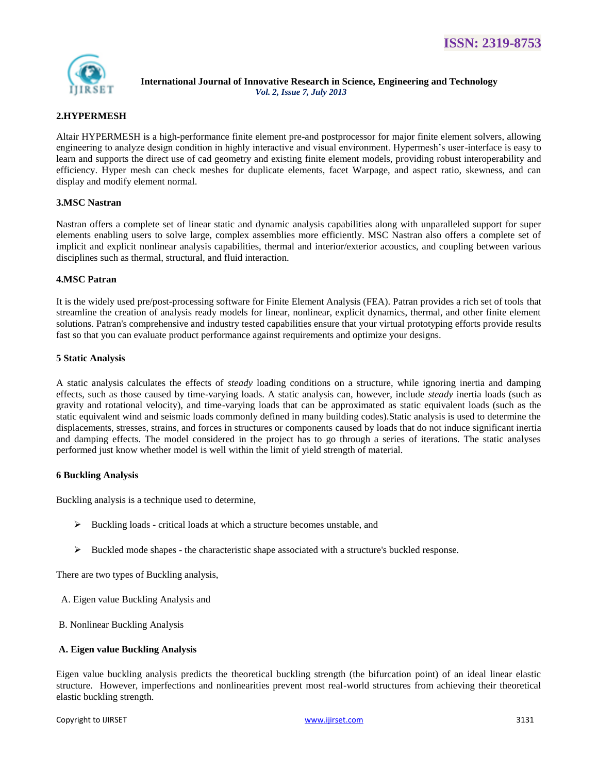

## **2.HYPERMESH**

Altair HYPERMESH is a high-performance finite element pre-and postprocessor for major finite element solvers, allowing engineering to analyze design condition in highly interactive and visual environment. Hypermesh's user-interface is easy to learn and supports the direct use of cad geometry and existing finite element models, providing robust interoperability and efficiency. Hyper mesh can check meshes for duplicate elements, facet Warpage, and aspect ratio, skewness, and can display and modify element normal.

## **3.MSC Nastran**

Nastran offers a complete set of linear static and dynamic analysis capabilities along with unparalleled support for super elements enabling users to solve large, complex assemblies more efficiently. MSC Nastran also offers a complete set of implicit and explicit nonlinear analysis capabilities, thermal and interior/exterior acoustics, and coupling between various disciplines such as thermal, structural, and fluid interaction.

## **4.MSC Patran**

It is the widely used pre/post-processing software for Finite Element Analysis (FEA). Patran provides a rich set of tools that streamline the creation of analysis ready models for linear, nonlinear, explicit dynamics, thermal, and other finite element solutions. Patran's comprehensive and industry tested capabilities ensure that your virtual prototyping efforts provide results fast so that you can evaluate product performance against requirements and optimize your designs.

## **5 Static Analysis**

A static analysis calculates the effects of *steady* loading conditions on a structure, while ignoring inertia and damping effects, such as those caused by time-varying loads. A static analysis can, however, include *steady* inertia loads (such as gravity and rotational velocity), and time-varying loads that can be approximated as static equivalent loads (such as the static equivalent wind and seismic loads commonly defined in many building codes).Static analysis is used to determine the displacements, stresses, strains, and forces in structures or components caused by loads that do not induce significant inertia and damping effects. The model considered in the project has to go through a series of iterations. The static analyses performed just know whether model is well within the limit of yield strength of material.

## **6 Buckling Analysis**

Buckling analysis is a technique used to determine,

- $\triangleright$  Buckling loads critical loads at which a structure becomes unstable, and
- $\triangleright$  Buckled mode shapes the characteristic shape associated with a structure's buckled response.

There are two types of Buckling analysis,

- A. Eigen value Buckling Analysis and
- B. Nonlinear Buckling Analysis

## **A. Eigen value Buckling Analysis**

Eigen value buckling analysis predicts the theoretical buckling strength (the bifurcation point) of an ideal linear elastic structure. However, imperfections and nonlinearities prevent most real-world structures from achieving their theoretical elastic buckling strength.

Copyright to IJIRSET 3131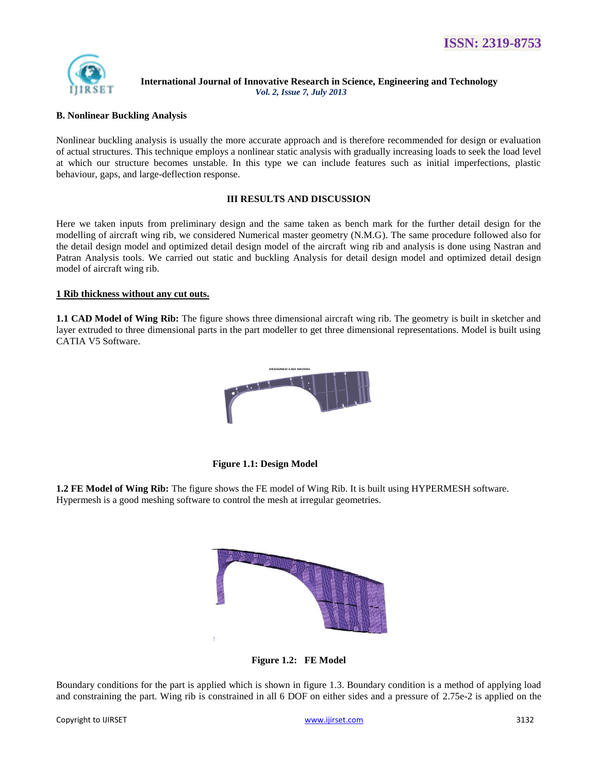

#### **B. Nonlinear Buckling Analysis**

Nonlinear buckling analysis is usually the more accurate approach and is therefore recommended for design or evaluation of actual structures. This technique employs a nonlinear static analysis with gradually increasing loads to seek the load level at which our structure becomes unstable. In this type we can include features such as initial imperfections, plastic behaviour, gaps, and large-deflection response.

#### **III RESULTS AND DISCUSSION**

Here we taken inputs from preliminary design and the same taken as bench mark for the further detail design for the modelling of aircraft wing rib, we considered Numerical master geometry (N.M.G). The same procedure followed also for the detail design model and optimized detail design model of the aircraft wing rib and analysis is done using Nastran and Patran Analysis tools. We carried out static and buckling Analysis for detail design model and optimized detail design model of aircraft wing rib.

#### **1 Rib thickness without any cut outs.**

**1.1 CAD Model of Wing Rib:** The figure shows three dimensional aircraft wing rib. The geometry is built in sketcher and layer extruded to three dimensional parts in the part modeller to get three dimensional representations. Model is built using CATIA V5 Software.



 **Figure 1.1: Design Model**

**1.2 FE Model of Wing Rib:** The figure shows the FE model of Wing Rib. It is built using HYPERMESH software. Hypermesh is a good meshing software to control the mesh at irregular geometries.



**Figure 1.2: FE Model**

Boundary conditions for the part is applied which is shown in figure 1.3. Boundary condition is a method of applying load and constraining the part. Wing rib is constrained in all 6 DOF on either sides and a pressure of 2.75e-2 is applied on the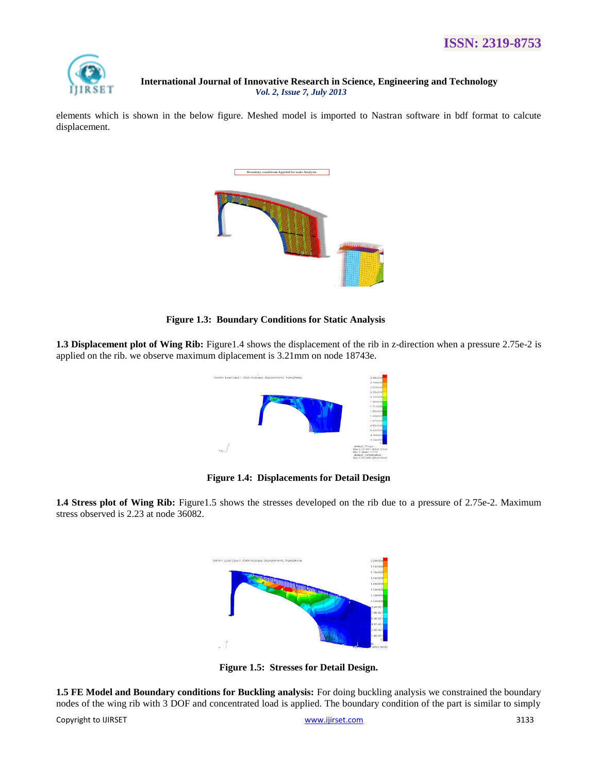

elements which is shown in the below figure. Meshed model is imported to Nastran software in bdf format to calcute displacement.



 **Figure 1.3: Boundary Conditions for Static Analysis** 

**1.3 Displacement plot of Wing Rib:** Figure1.4 shows the displacement of the rib in z-direction when a pressure 2.75e-2 is applied on the rib. we observe maximum diplacement is 3.21mm on node 18743e.



**Figure 1.4: Displacements for Detail Design**

**1.4 Stress plot of Wing Rib:** Figure1.5 shows the stresses developed on the rib due to a pressure of 2.75e-2. Maximum stress observed is 2.23 at node 36082.



**Figure 1.5: Stresses for Detail Design.**

**1.5 FE Model and Boundary conditions for Buckling analysis:** For doing buckling analysis we constrained the boundary nodes of the wing rib with 3 DOF and concentrated load is applied. The boundary condition of the part is similar to simply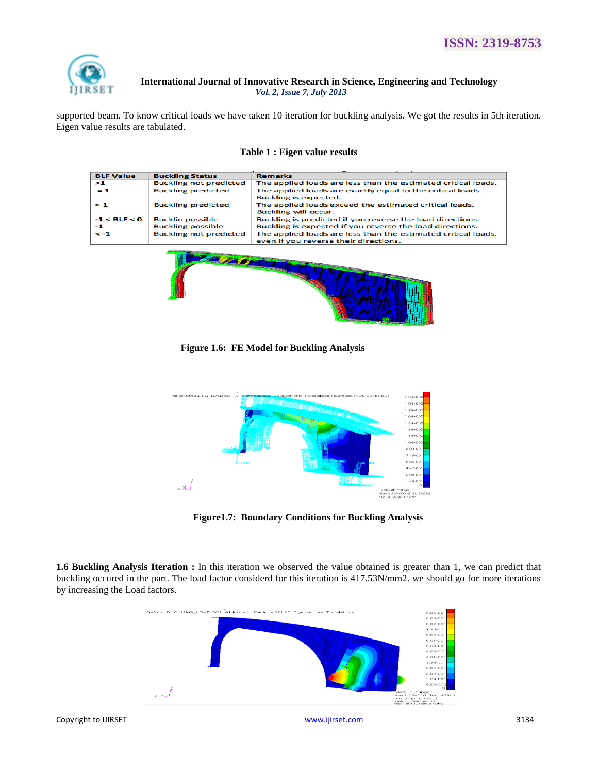

supported beam. To know critical loads we have taken 10 iteration for buckling analysis. We got the results in 5th iteration. Eigen value results are tabulated.

| <b>BLF Value</b> | <b>Buckling Status</b>        | <b>Remarks</b>                                                                                         |
|------------------|-------------------------------|--------------------------------------------------------------------------------------------------------|
| >1               | <b>Buckling not predicted</b> | The applied loads are less than the estimated critical loads.                                          |
| $= 1$            | <b>Buckling predicted</b>     | The applied loads are exactly equal to the critical loads.<br><b>Buckling is expected.</b>             |
| $\leq 1$         | <b>Buckling predicted</b>     | The applied loads exceed the estimated critical loads.<br><b>Buckling will occur.</b>                  |
| $-1 < BLF < 0$   | <b>Bucklin possible</b>       | Buckling is predicted if you reverse the load directions.                                              |
| -1               | <b>Buckling possible</b>      | Buckling is expected if you reverse the load directions.                                               |
| $\leq -1$        | <b>Buckling not predicted</b> | The applied loads are less than the estimated critical loads,<br>even if you reverse their directions. |

#### **Table 1 : Eigen value results**



 **Figure 1.6: FE Model for Buckling Analysis** 



 **Figure1.7: Boundary Conditions for Buckling Analysis** 

**1.6 Buckling Analysis Iteration :** In this iteration we observed the value obtained is greater than 1, we can predict that buckling occured in the part. The load factor considerd for this iteration is 417.53N/mm2. we should go for more iterations by increasing the Load factors.

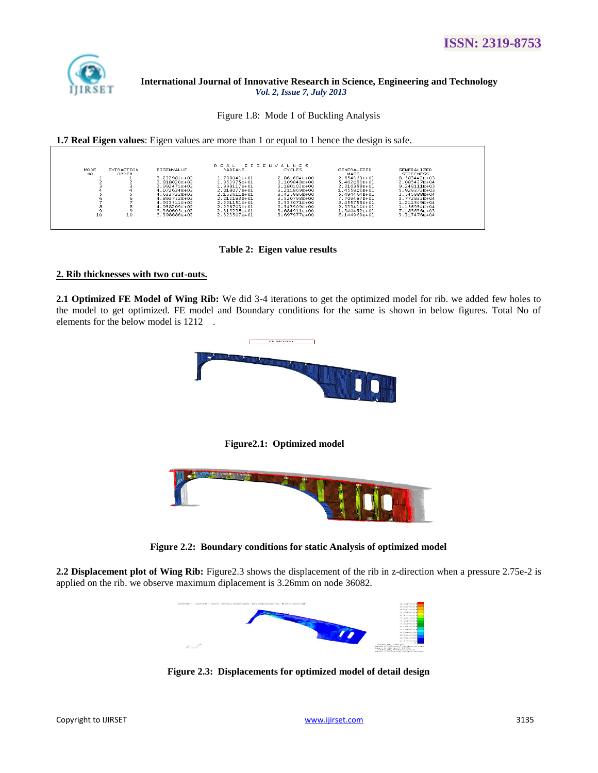

Figure 1.8: Mode 1 of Buckling Analysis

|                                                                                     |                                                                                                                                                                                | <b>1.7 Real Eigen values:</b> Eigen values are more than 1 or equal to 1 hence the design is safe.                                                                          |                                                                                                                                                                               |                                                                                                                                                                                                    |                                                                                                                                                                                                                |
|-------------------------------------------------------------------------------------|--------------------------------------------------------------------------------------------------------------------------------------------------------------------------------|-----------------------------------------------------------------------------------------------------------------------------------------------------------------------------|-------------------------------------------------------------------------------------------------------------------------------------------------------------------------------|----------------------------------------------------------------------------------------------------------------------------------------------------------------------------------------------------|----------------------------------------------------------------------------------------------------------------------------------------------------------------------------------------------------------------|
|                                                                                     |                                                                                                                                                                                |                                                                                                                                                                             |                                                                                                                                                                               |                                                                                                                                                                                                    |                                                                                                                                                                                                                |
|                                                                                     |                                                                                                                                                                                | EIGENVALUES<br>REAL                                                                                                                                                         |                                                                                                                                                                               |                                                                                                                                                                                                    |                                                                                                                                                                                                                |
| MODE<br><b>EXTRACTION</b><br>NO.<br>ORDER<br>6<br>n<br>8<br>8<br>9<br>9<br>10<br>10 | EIGENVALUE<br>3.232981E+02<br>3.818020F+02<br>$3.992471F + 02$<br>4.072634F+02<br>4.633732E+02<br>4.893752E+02<br>4.933511E+02<br>4.958209F+02<br>5.360605F+02<br>5.398686E+02 | RADIANS<br>1.798049E+01<br>1.953975E+01<br>$1.998117F + 01$<br>2.018077F+01<br>2.152611E+01<br>2.212183E+01<br>2.221151E+01<br>2.226703E+01<br>2.315298E+01<br>2.323507E+01 | <b>CYCLES</b><br>2.861684E+00<br>3.109848E+00<br>3.180102F+00<br>3.211869F+00<br>3.425986E+00<br>3.520798E+00<br>3.535071E+00<br>3.543909F+00<br>3.684911E+00<br>3.697977E+00 | <b>GENERALIZED</b><br>MASS<br>2.654963E+01<br>5.462089E+01<br>2.316388F+01<br>1.455906F+01<br>$5.494464E + 01$<br>7.709487E+01<br>2.455755E+01<br>2.333410F+01<br>$1.340452F + 01$<br>6.144969E+01 | <b>GENERALIZED</b><br><b>STIFFNESS</b><br>8.583442E+03<br>2.085437E+04<br>$9.248111F + 03$<br>5.929372F+03<br>2.545988E+04<br>3.772832E+04<br>$1.211549E+04$<br>$1.156954F+04$<br>7.185636F+03<br>3.317476E+04 |

 **Table 2: Eigen value results** 

## **2. Rib thicknesses with two cut-outs.**

**2.1 Optimized FE Model of Wing Rib:** We did 3-4 iterations to get the optimized model for rib. we added few holes to the model to get optimized. FE model and Boundary conditions for the same is shown in below figures. Total No of elements for the below model is 1212 .



 **Figure2.1: Optimized model** 



**Figure 2.2: Boundary conditions for static Analysis of optimized model**

**2.2 Displacement plot of Wing Rib:** Figure2.3 shows the displacement of the rib in z-direction when a pressure 2.75e-2 is applied on the rib. we observe maximum diplacement is 3.26mm on node 36082.



**Figure 2.3: Displacements for optimized model of detail design**